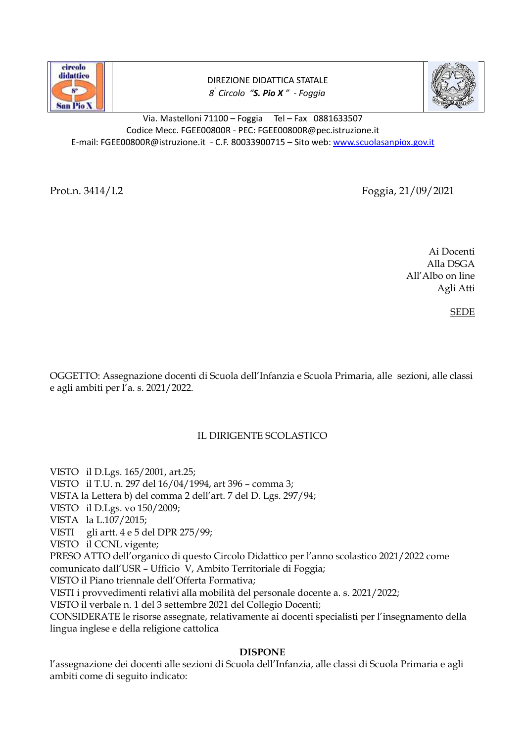

DIREZIONE DIDATTICA STATALE *8 ° Circolo "S. Pio X " - Foggia*



Via. Mastelloni 71100 – Foggia Tel – Fax 0881633507 Codice Mecc. FGEE00800R - PEC: FGEE00800R@pec.istruzione.it E-mail: FGEE00800R@istruzione.it - C.F. 80033900715 – Sito web: [www.scuolasanpiox.gov.it](http://www.scuolasanpiox.gov.it/)

Prot.n. 3414/I.2 Foggia, 21/09/2021

Ai Docenti Alla DSGA All'Albo on line Agli Atti

SEDE

OGGETTO: Assegnazione docenti di Scuola dell'Infanzia e Scuola Primaria, alle sezioni, alle classi e agli ambiti per l'a. s. 2021/2022.

## IL DIRIGENTE SCOLASTICO

VISTOil D.Lgs. 165/2001, art.25;

VISTOil T.U. n. 297 del 16/04/1994, art 396 – comma 3;

VISTA la Lettera b) del comma 2 dell'art. 7 del D. Lgs. 297/94;

VISTOil D.Lgs. vo 150/2009;

VISTA la L.107/2015;

VISTI gli artt. 4 e 5 del DPR 275/99;

VISTO il CCNL vigente;

PRESO ATTO dell'organico di questo Circolo Didattico per l'anno scolastico 2021/2022 come

comunicato dall'USR – Ufficio V, Ambito Territoriale di Foggia;

VISTO il Piano triennale dell'Offerta Formativa;

VISTI i provvedimenti relativi alla mobilità del personale docente a. s. 2021/2022;

VISTO il verbale n. 1 del 3 settembre 2021 del Collegio Docenti;

CONSIDERATE le risorse assegnate, relativamente ai docenti specialisti per l'insegnamento della lingua inglese e della religione cattolica

## **DISPONE**

l'assegnazione dei docenti alle sezioni di Scuola dell'Infanzia, alle classi di Scuola Primaria e agli ambiti come di seguito indicato: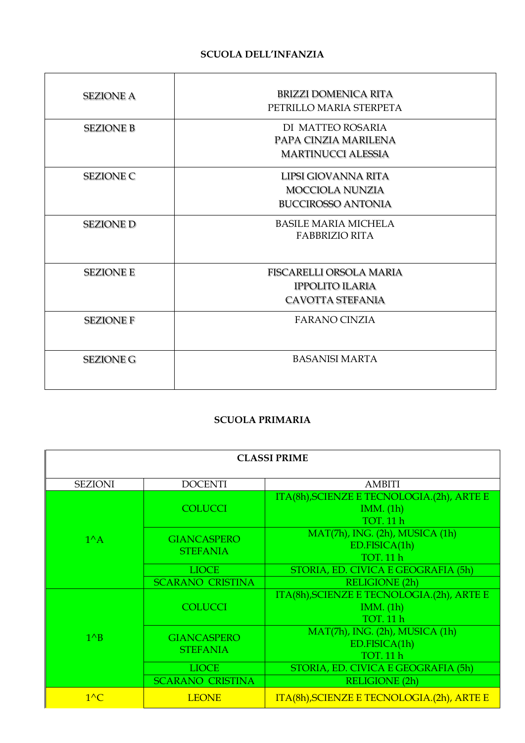# **SCUOLA DELL'INFANZIA**

| <b>SEZIONE A</b> | <b>BRIZZI DOMENICA RITA</b><br>PETRILLO MARIA STERPETA                              |  |
|------------------|-------------------------------------------------------------------------------------|--|
| <b>SEZIONE B</b> | DI MATTEO ROSARIA<br>PAPA CINZIA MARILENA<br><b>MARTINUCCI ALESSIA</b>              |  |
| <b>SEZIONE C</b> | LIPSI GIOVANNA RITA<br><b>MOCCIOLA NUNZIA</b><br><b>BUCCIROSSO ANTONIA</b>          |  |
| <b>SEZIONE D</b> | <b>BASILE MARIA MICHELA</b><br><b>FABBRIZIO RITA</b>                                |  |
| <b>SEZIONE E</b> | <b>FISCARELLI ORSOLA MARIA</b><br><b>IPPOLITO ILARIA</b><br><b>CAVOTTA STEFANIA</b> |  |
| <b>SEZIONE F</b> | <b>FARANO CINZIA</b>                                                                |  |
| <b>SEZIONE G</b> | <b>BASANISI MARTA</b>                                                               |  |

## **SCUOLA PRIMARIA**

| <b>CLASSI PRIME</b> |                                       |                                                                              |  |
|---------------------|---------------------------------------|------------------------------------------------------------------------------|--|
| <b>SEZIONI</b>      | <b>DOCENTI</b>                        | <b>AMBITI</b>                                                                |  |
| $1^{\wedge}$ A      | <b>COLUCCI</b>                        | ITA(8h), SCIENZE E TECNOLOGIA.(2h), ARTE E<br>IMM. (1h)<br><b>TOT. 11 h</b>  |  |
|                     | <b>GIANCASPERO</b><br><b>STEFANIA</b> | MAT(7h), ING. (2h), MUSICA (1h)<br>ED.FISICA(1h)<br><b>TOT. 11 h</b>         |  |
|                     | <b>LIOCE</b>                          | STORIA, ED. CIVICA E GEOGRAFIA (5h)                                          |  |
|                     | <b>SCARANO CRISTINA</b>               | <b>RELIGIONE (2h)</b>                                                        |  |
| $1^{\wedge}B$       | <b>COLUCCI</b>                        | ITA(8h), SCIENZE E TECNOLOGIA.(2h), ARTE E<br>IMM. (1h)<br><b>TOT. 11 h</b>  |  |
|                     | <b>GIANCASPERO</b><br><b>STEFANIA</b> | $MAT(7h)$ , ING. $(2h)$ , MUSICA $(1h)$<br>ED.FISICA(1h)<br><b>TOT. 11 h</b> |  |
|                     | <b>LIOCE</b>                          | STORIA, ED. CIVICA E GEOGRAFIA (5h)                                          |  |
|                     | <b>SCARANO CRISTINA</b>               | <b>RELIGIONE (2h)</b>                                                        |  |
| $1^{\wedge}C$       | <b>LEONE</b>                          | ITA(8h), SCIENZE E TECNOLOGIA.(2h), ARTE E                                   |  |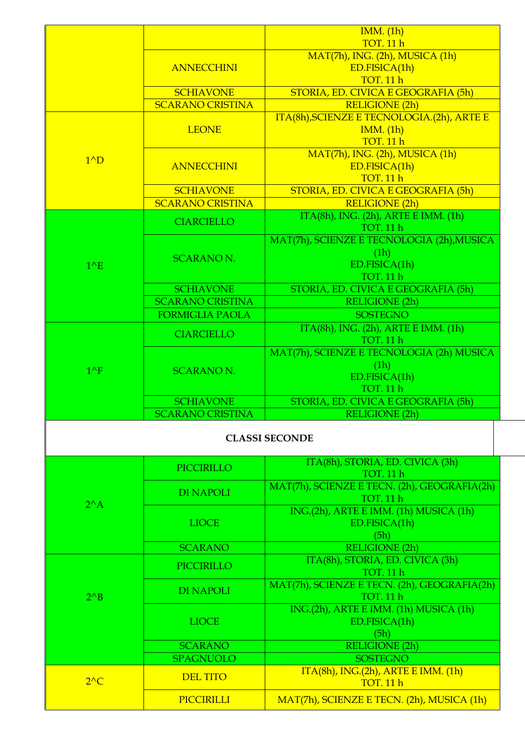|               |                         | IMM. (1h)                                                        |
|---------------|-------------------------|------------------------------------------------------------------|
|               |                         | <b>TOT. 11 h</b>                                                 |
|               |                         | MAT(7h), ING. (2h), MUSICA (1h)                                  |
|               | <b>ANNECCHINI</b>       | ED.FISICA(1h)<br><b>TOT. 11 h</b>                                |
|               | <b>SCHIAVONE</b>        | STORIA, ED. CIVICA E GEOGRAFIA (5h)                              |
|               | <b>SCARANO CRISTINA</b> | <b>RELIGIONE</b> (2h)                                            |
|               |                         | ITA(8h), SCIENZE E TECNOLOGIA.(2h), ARTE E                       |
| $1^{\wedge}D$ | <b>LEONE</b>            | IMM. (1h)                                                        |
|               |                         | <b>TOT. 11 h</b>                                                 |
|               |                         | MAT(7h), ING. (2h), MUSICA (1h)                                  |
|               | <b>ANNECCHINI</b>       | ED.FISICA(1h)                                                    |
|               |                         | <b>TOT. 11 h</b>                                                 |
|               | <b>SCHIAVONE</b>        | STORIA, ED. CIVICA E GEOGRAFIA (5h)                              |
|               | <b>SCARANO CRISTINA</b> | <b>RELIGIONE (2h)</b>                                            |
|               | <b>CIARCIELLO</b>       | $ITA(8h)$ , ING. $(2h)$ , ARTE E IMM. $(1h)$                     |
|               |                         | <b>TOT. 11 h</b>                                                 |
|               |                         | MAT(7h), SCIENZE E TECNOLOGIA (2h), MUSICA                       |
|               | <b>SCARANO N.</b>       | (1h)                                                             |
| $1^{\wedge}E$ |                         | ED.FISICA(1h)                                                    |
|               |                         | <b>TOT. 11 h</b>                                                 |
|               | <b>SCHIAVONE</b>        | STORIA, ED. CIVICA E GEOGRAFIA (5h)                              |
|               | <b>SCARANO CRISTINA</b> | <b>RELIGIONE (2h)</b>                                            |
|               | <b>FORMIGLIA PAOLA</b>  | <b>SOSTEGNO</b>                                                  |
|               | <b>CIARCIELLO</b>       | $ITA(8h)$ , ING. $(2h)$ , ARTE E IMM. $(1h)$<br><b>TOT. 11 h</b> |
|               |                         | MAT(7h), SCIENZE E TECNOLOGIA (2h) MUSICA                        |
| $1^{\wedge}F$ | <b>SCARANO N.</b>       | (1h)                                                             |
|               |                         | ED.FISICA(1h)                                                    |
|               |                         | <b>TOT. 11 h</b>                                                 |
|               | <b>SCHIAVONE</b>        | STORIA, ED. CIVICA E GEOGRAFIA (5h)                              |
|               | <b>SCARANO CRISTINA</b> | RELIGIONE (2h)                                                   |
|               |                         | <b>CLASSI SECONDE</b>                                            |
|               |                         |                                                                  |
|               |                         |                                                                  |
|               | <b>PICCIRILLO</b>       | ITA(8h), STORIA, ED. CIVICA (3h)                                 |
|               |                         | <b>TOT. 11 h</b>                                                 |
|               | <b>DI NAPOLI</b>        |                                                                  |
| $2^{\wedge}A$ |                         | MAT(7h), SCIENZE E TECN. (2h), GEOGRAFIA(2h)<br><b>TOT. 11 h</b> |
|               |                         | ING.(2h), ARTE E IMM. (1h) MUSICA (1h)                           |
|               | <b>LIOCE</b>            | ED.FISICA(1h)                                                    |
|               | <b>SCARANO</b>          | (5h)<br><b>RELIGIONE (2h)</b>                                    |
|               |                         | ITA(8h), STORIA, ED. CIVICA (3h)                                 |
|               | <b>PICCIRILLO</b>       | <b>TOT. 11 h</b>                                                 |
|               |                         | MAT(7h), SCIENZE E TECN. (2h), GEOGRAFIA(2h)                     |
| $2^{\wedge}B$ | <b>DI NAPOLI</b>        | TOT. 11 h                                                        |
|               |                         | ING.(2h), ARTE E IMM. (1h) MUSICA (1h)                           |
|               | <b>LIOCE</b>            | ED.FISICA(1h)                                                    |
|               |                         | (5h)                                                             |
|               | <b>SCARANO</b>          | RELIGIONE <sup>(2h)</sup>                                        |
|               | <b>SPAGNUOLO</b>        | <b>SOSTEGNO</b>                                                  |
| $2^{\wedge}C$ | <b>DEL TITO</b>         | ITA(8h), ING.(2h), ARTE E IMM. (1h)<br><b>TOT. 11 h</b>          |
|               | PICCIRILLI              | MAT(7h), SCIENZE E TECN. (2h), MUSICA (1h)                       |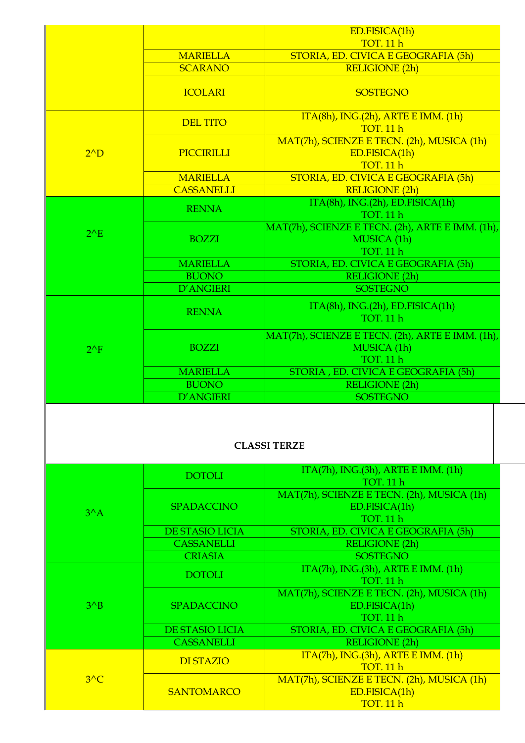|               |                                   | ED.FISICA(1h)                                                                       |  |  |  |
|---------------|-----------------------------------|-------------------------------------------------------------------------------------|--|--|--|
|               |                                   | <b>TOT. 11 h</b>                                                                    |  |  |  |
|               | <b>MARIELLA</b><br><b>SCARANO</b> | STORIA, ED. CIVICA E GEOGRAFIA (5h)<br><b>RELIGIONE (2h)</b>                        |  |  |  |
|               |                                   |                                                                                     |  |  |  |
|               | <b>ICOLARI</b>                    | <b>SOSTEGNO</b>                                                                     |  |  |  |
|               | <b>DEL TITO</b>                   | ITA(8h), ING.(2h), ARTE E IMM. (1h)<br><b>TOT. 11 h</b>                             |  |  |  |
| $2^{\wedge}D$ | PICCIRILLI                        | MAT(7h), SCIENZE E TECN. (2h), MUSICA (1h)<br>ED.FISICA(1h)<br><b>TOT. 11 h</b>     |  |  |  |
|               | <b>MARIELLA</b>                   | STORIA, ED. CIVICA E GEOGRAFIA (5h)                                                 |  |  |  |
|               | <b>CASSANELLI</b>                 | <b>RELIGIONE (2h)</b>                                                               |  |  |  |
|               | <b>RENNA</b>                      | ITA(8h), ING.(2h), ED.FISICA(1h)<br><b>TOT. 11 h</b>                                |  |  |  |
| $2^{\wedge}E$ | <b>BOZZI</b>                      | MAT(7h), SCIENZE E TECN. (2h), ARTE E IMM. (1h),<br>MUSICA (1h)<br><b>TOT. 11 h</b> |  |  |  |
|               | <b>MARIELLA</b>                   | STORIA, ED. CIVICA E GEOGRAFIA (5h)                                                 |  |  |  |
|               | <b>BUONO</b>                      | <b>RELIGIONE (2h)</b>                                                               |  |  |  |
|               | D'ANGIERI                         | <b>SOSTEGNO</b>                                                                     |  |  |  |
|               | <b>RENNA</b>                      | ITA(8h), ING.(2h), ED.FISICA(1h)<br><b>TOT. 11 h</b>                                |  |  |  |
| $2^{\wedge}F$ | <b>BOZZI</b>                      | MAT(7h), SCIENZE E TECN. (2h), ARTE E IMM. (1h),<br>MUSICA (1h)<br><b>TOT. 11 h</b> |  |  |  |
|               | <b>MARIELLA</b>                   | STORIA, ED. CIVICA E GEOGRAFIA (5h)                                                 |  |  |  |
|               | <b>BUONO</b>                      | <b>RELIGIONE (2h)</b>                                                               |  |  |  |
|               | D'ANGIERI                         | <b>SOSTEGNO</b>                                                                     |  |  |  |
|               | <b>CLASSI TERZE</b>               |                                                                                     |  |  |  |
|               | <b>DOTOLI</b>                     | ITA(7h), ING.(3h), ARTE E IMM. (1h)<br>TOT. 11 h                                    |  |  |  |
| $3^A$         | <b>SPADACCINO</b>                 | MAT(7h), SCIENZE E TECN. (2h), MUSICA (1h)<br>ED.FISICA(1h)<br><b>TOT. 11 h</b>     |  |  |  |
|               | DE STASIO LICIA                   | STORIA, ED. CIVICA E GEOGRAFIA (5h)                                                 |  |  |  |
|               | <b>CASSANELLI</b>                 | <b>RELIGIONE (2h)</b>                                                               |  |  |  |
|               | <b>CRIASIA</b>                    | <b>SOSTEGNO</b>                                                                     |  |  |  |
|               | <b>DOTOLI</b>                     | $ITA(7h)$ , ING.(3h), ARTE E IMM. (1h)<br><b>TOT. 11 h</b>                          |  |  |  |
| $3^{\wedge}B$ | <b>SPADACCINO</b>                 | MAT(7h), SCIENZE E TECN. (2h), MUSICA (1h)<br>ED.FISICA(1h)<br><b>TOT. 11 h</b>     |  |  |  |
|               | <b>DE STASIO LICIA</b>            | STORIA, ED. CIVICA E GEOGRAFIA (5h)                                                 |  |  |  |
|               | <b>CASSANELLI</b>                 | <b>RELIGIONE (2h)</b>                                                               |  |  |  |
|               | <b>DI STAZIO</b>                  | $ITA(7h)$ , $ING.(3h)$ , $ARTE EIMM. (1h)$<br><b>TOT. 11 h</b>                      |  |  |  |

MAT(7h), SCIENZE E TECN. (2h), MUSICA (1h) ED.FISICA(1h) TOT. 11 h

 $3^AC$ 

**SANTOMARCO**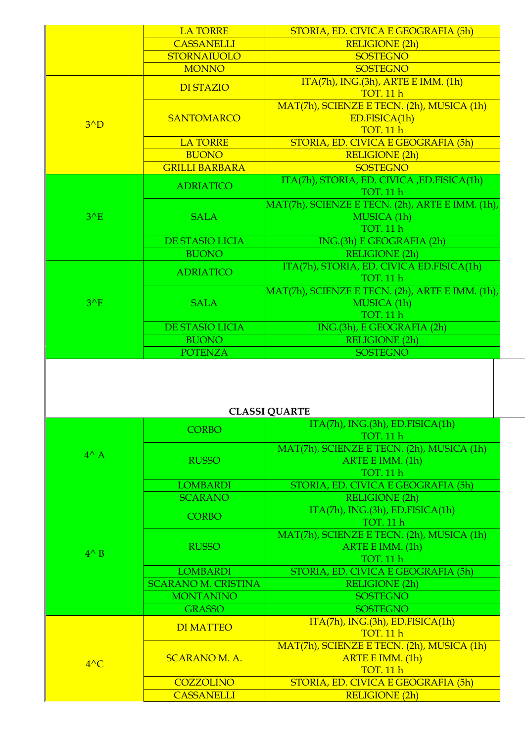|               | <b>LA TORRE</b>        | STORIA, ED. CIVICA E GEOGRAFIA (5h)              |
|---------------|------------------------|--------------------------------------------------|
|               | <b>CASSANELLI</b>      | <b>RELIGIONE (2h)</b>                            |
|               | <b>STORNAIUOLO</b>     | <b>SOSTEGNO</b>                                  |
|               | <b>MONNO</b>           | <b>SOSTEGNO</b>                                  |
|               | <b>DI STAZIO</b>       | $ITA(7h)$ , ING.(3h), ARTE E IMM. (1h)           |
|               |                        | <b>TOT. 11 h</b>                                 |
|               |                        | MAT(7h), SCIENZE E TECN. (2h), MUSICA (1h)       |
| $3^{\wedge}D$ | <b>SANTOMARCO</b>      | ED.FISICA(1h)                                    |
|               |                        | <b>TOT. 11 h</b>                                 |
|               | <b>LA TORRE</b>        | STORIA, ED. CIVICA E GEOGRAFIA (5h)              |
|               | <b>BUONO</b>           | <b>RELIGIONE (2h)</b>                            |
|               | <b>GRILLI BARBARA</b>  | <b>SOSTEGNO</b>                                  |
|               | <b>ADRIATICO</b>       | ITA(7h), STORIA, ED. CIVICA, ED.FISICA(1h)       |
|               |                        | <b>TOT. 11 h</b>                                 |
|               |                        | MAT(7h), SCIENZE E TECN. (2h), ARTE E IMM. (1h), |
| $3^{\wedge}E$ | <b>SALA</b>            | MUSICA (1h)                                      |
|               |                        | <b>TOT. 11 h</b>                                 |
|               | <b>DE STASIO LICIA</b> | ING.(3h) E GEOGRAFIA (2h)                        |
|               | <b>BUONO</b>           | <b>RELIGIONE (2h)</b>                            |
|               | <b>ADRIATICO</b>       | ITA(7h), STORIA, ED. CIVICA ED.FISICA(1h)        |
|               |                        | <b>TOT. 11 h</b>                                 |
|               | <b>SALA</b>            | MAT(7h), SCIENZE E TECN. (2h), ARTE E IMM. (1h), |
| $3^{\wedge}F$ |                        | MUSICA (1h)                                      |
|               |                        | <b>TOT. 11 h</b>                                 |
|               | <b>DE STASIO LICIA</b> | ING.(3h), E GEOGRAFIA (2h)                       |
|               | <b>BUONO</b>           | <b>RELIGIONE (2h)</b>                            |
|               | <b>POTENZA</b>         | <b>SOSTEGNO</b>                                  |
|               |                        |                                                  |
|               |                        |                                                  |
|               |                        |                                                  |

| CLASSI QUANTE  |                            |                                                                                    |  |
|----------------|----------------------------|------------------------------------------------------------------------------------|--|
|                | <b>CORBO</b>               | $ITA(7h)$ , $ING.(3h)$ , $ED.FISICA(1h)$<br><b>TOT.</b> 11 h                       |  |
| $4^{\wedge}$ A | <b>RUSSO</b>               | MAT(7h), SCIENZE E TECN. (2h), MUSICA (1h)<br>ARTE E IMM. (1h)<br><b>TOT. 11 h</b> |  |
|                | <b>LOMBARDI</b>            | STORIA, ED. CIVICA E GEOGRAFIA (5h)                                                |  |
|                | <b>SCARANO</b>             | <b>RELIGIONE (2h)</b>                                                              |  |
| $4^{\wedge}$ B | <b>CORBO</b>               | ITA(7h), ING.(3h), ED.FISICA(1h)<br><b>TOT. 11 h</b>                               |  |
|                | <b>RUSSO</b>               | MAT(7h), SCIENZE E TECN. (2h), MUSICA (1h)<br>ARTE E IMM. (1h)<br><b>TOT. 11 h</b> |  |
|                | <b>LOMBARDI</b>            | STORIA, ED. CIVICA E GEOGRAFIA (5h)                                                |  |
|                | <b>SCARANO M. CRISTINA</b> | <b>RELIGIONE (2h)</b>                                                              |  |
|                | <b>MONTANINO</b>           | <b>SOSTEGNO</b>                                                                    |  |
|                | <b>GRASSO</b>              | <b>SOSTEGNO</b>                                                                    |  |
| $4^{\wedge}C$  | <b>DI MATTEO</b>           | ITA(7h), ING.(3h), ED.FISICA(1h)<br><b>TOT. 11 h</b>                               |  |
|                | <b>SCARANO M. A.</b>       | MAT(7h), SCIENZE E TECN. (2h), MUSICA (1h)<br>ARTE E IMM. (1h)<br><b>TOT. 11 h</b> |  |
|                | <b>COZZOLINO</b>           | STORIA, ED. CIVICA E GEOGRAFIA (5h)                                                |  |
|                | <b>CASSANELLI</b>          | <b>RELIGIONE (2h)</b>                                                              |  |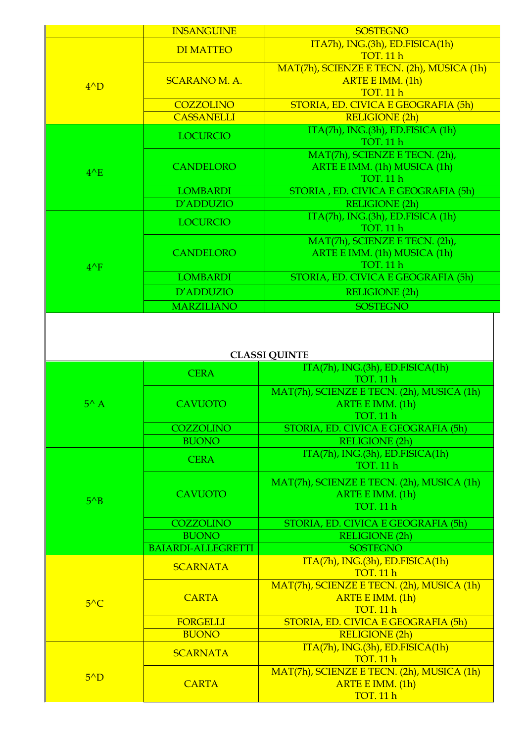|                      | <b>INSANGUINE</b>         | <b>SOSTEGNO</b>                            |  |
|----------------------|---------------------------|--------------------------------------------|--|
| $4^{\wedge}D$        | <b>DI MATTEO</b>          | ITA7h), ING.(3h), ED.FISICA(1h)            |  |
|                      |                           | <b>TOT. 11 h</b>                           |  |
|                      |                           | MAT(7h), SCIENZE E TECN. (2h), MUSICA (1h) |  |
|                      | <b>SCARANO M. A.</b>      | ARTE E IMM. (1h)                           |  |
|                      |                           | <b>TOT. 11 h</b>                           |  |
|                      | <b>COZZOLINO</b>          | STORIA, ED. CIVICA E GEOGRAFIA (5h)        |  |
|                      | <b>CASSANELLI</b>         | <b>RELIGIONE (2h)</b>                      |  |
|                      | <b>LOCURCIO</b>           | ITA(7h), ING.(3h), ED.FISICA (1h)          |  |
|                      |                           | <b>TOT. 11 h</b>                           |  |
|                      |                           | MAT(7h), SCIENZE E TECN. (2h),             |  |
| $4^{\wedge}E$        | <b>CANDELORO</b>          | ARTE E IMM. (1h) MUSICA (1h)               |  |
|                      |                           | <b>TOT. 11 h</b>                           |  |
|                      | <b>LOMBARDI</b>           | STORIA, ED. CIVICA E GEOGRAFIA (5h)        |  |
|                      | D'ADDUZIO                 | <b>RELIGIONE (2h)</b>                      |  |
|                      | <b>LOCURCIO</b>           | ITA(7h), ING.(3h), ED.FISICA (1h)          |  |
|                      |                           | <b>TOT. 11 h</b>                           |  |
|                      |                           | MAT(7h), SCIENZE E TECN. (2h),             |  |
|                      | <b>CANDELORO</b>          | ARTE E IMM. (1h) MUSICA (1h)               |  |
| $4^{\wedge}F$        |                           | <b>TOT. 11 h</b>                           |  |
|                      | <b>LOMBARDI</b>           | STORIA, ED. CIVICA E GEOGRAFIA (5h)        |  |
|                      | D'ADDUZIO                 | <b>RELIGIONE (2h)</b>                      |  |
|                      | <b>MARZILIANO</b>         | <b>SOSTEGNO</b>                            |  |
|                      |                           |                                            |  |
|                      |                           |                                            |  |
|                      |                           |                                            |  |
| <b>CLASSI QUINTE</b> |                           |                                            |  |
|                      |                           |                                            |  |
|                      | <b>CERA</b>               | ITA(7h), ING.(3h), ED.FISICA(1h)           |  |
|                      |                           | <b>TOT. 11 h</b>                           |  |
|                      |                           | MAT(7h), SCIENZE E TECN. (2h), MUSICA (1h) |  |
| $5^{\wedge}$ A       | <b>CAVUOTO</b>            | ARTE E IMM. (1h)                           |  |
|                      |                           | <b>TOT. 11 h</b>                           |  |
|                      | <b>COZZOLINO</b>          | STORIA, ED. CIVICA E GEOGRAFIA (5h)        |  |
|                      | <b>BUONO</b>              | <b>RELIGIONE (2h)</b>                      |  |
|                      | <b>CERA</b>               | ITA(7h), ING.(3h), ED.FISICA(1h)           |  |
|                      |                           | <b>TOT. 11 h</b>                           |  |
|                      |                           | MAT(7h), SCIENZE E TECN. (2h), MUSICA (1h) |  |
|                      | <b>CAVUOTO</b>            | ARTE E IMM. (1h)                           |  |
| $5^{\wedge}B$        |                           | <b>TOT. 11 h</b>                           |  |
|                      | <b>COZZOLINO</b>          | STORIA, ED. CIVICA E GEOGRAFIA (5h)        |  |
|                      | <b>BUONO</b>              | <b>RELIGIONE (2h)</b>                      |  |
|                      | <b>BAIARDI-ALLEGRETTI</b> | <b>SOSTEGNO</b>                            |  |
|                      |                           | ITA(7h), ING.(3h), ED.FISICA(1h)           |  |
|                      | <b>SCARNATA</b>           | <b>TOT. 11 h</b>                           |  |
|                      |                           | MAT(7h), SCIENZE E TECN. (2h), MUSICA (1h) |  |
|                      | <b>CARTA</b>              | ARTE E IMM. (1h)                           |  |
| $5^{\wedge}$ C       |                           | <b>TOT. 11 h</b>                           |  |
|                      | <b>FORGELLI</b>           | STORIA, ED. CIVICA E GEOGRAFIA (5h)        |  |
|                      | <b>BUONO</b>              | <b>RELIGIONE (2h)</b>                      |  |
|                      |                           | ITA(7h), ING.(3h), ED.FISICA(1h)           |  |
|                      | <b>SCARNATA</b>           | <b>TOT. 11 h</b>                           |  |
|                      |                           | MAT(7h), SCIENZE E TECN. (2h), MUSICA (1h) |  |
| $5^{\wedge}D$        | <b>CARTA</b>              | ARTE E IMM. (1h)<br><b>TOT. 11 h</b>       |  |